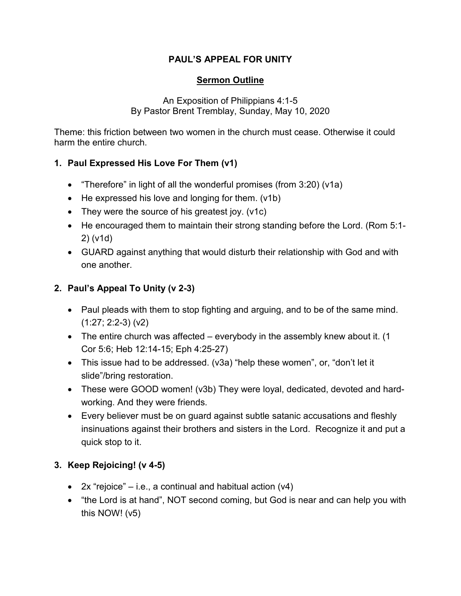#### **PAUL'S APPEAL FOR UNITY**

#### **Sermon Outline**

An Exposition of Philippians 4:1-5 By Pastor Brent Tremblay, Sunday, May 10, 2020

Theme: this friction between two women in the church must cease. Otherwise it could harm the entire church.

# **1. Paul Expressed His Love For Them (v1)**

- "Therefore" in light of all the wonderful promises (from 3:20) (v1a)
- He expressed his love and longing for them. (v1b)
- They were the source of his greatest joy. (v1c)
- He encouraged them to maintain their strong standing before the Lord. (Rom 5:1- 2) (v1d)
- GUARD against anything that would disturb their relationship with God and with one another.

# **2. Paul's Appeal To Unity (v 2-3)**

- Paul pleads with them to stop fighting and arguing, and to be of the same mind. (1:27; 2:2-3) (v2)
- The entire church was affected everybody in the assembly knew about it. (1) Cor 5:6; Heb 12:14-15; Eph 4:25-27)
- This issue had to be addressed. (v3a) "help these women", or, "don't let it slide"/bring restoration.
- These were GOOD women! (v3b) They were loyal, dedicated, devoted and hardworking. And they were friends.
- Every believer must be on guard against subtle satanic accusations and fleshly insinuations against their brothers and sisters in the Lord. Recognize it and put a quick stop to it.

# **3. Keep Rejoicing! (v 4-5)**

- 2x "rejoice" i.e., a continual and habitual action  $(v4)$
- "the Lord is at hand", NOT second coming, but God is near and can help you with this NOW! (v5)